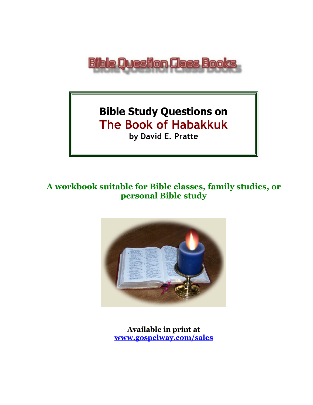

# **Bible Study Questions on The Book of Habakkuk by David E. Pratte**

## **A workbook suitable for Bible classes, family studies, or personal Bible study**



**Available in print at [www.gospelway.com/sales](https://www.gospelway.com/sales)**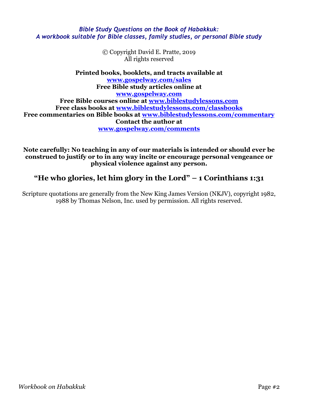#### *Bible Study Questions on the Book of Habakkuk: A workbook suitable for Bible classes, family studies, or personal Bible study*

© Copyright David E. Pratte, 2019 All rights reserved

**Printed books, booklets, and tracts available at [www.gospelway.com/sales](https://www.gospelway.com/sales) Free Bible study articles online at [www.gospelway.com](http://www.gospelway.com/) Free Bible courses online at [www.biblestudylessons.com](http://www.biblestudylessons.com/) Free class books at [www.biblestudylessons.com/classbooks](http://www.biblestudylessons.com/classbooks) Free commentaries on Bible books at [www.biblestudylessons.com/commentary](https://www.biblestudylessons.com/commentary) Contact the author at [www.gospelway.com/comments](http://www.gospelway.com/comments)**

**Note carefully: No teaching in any of our materials is intended or should ever be construed to justify or to in any way incite or encourage personal vengeance or physical violence against any person.**

## **"He who glories, let him glory in the Lord" – 1 Corinthians 1:31**

Scripture quotations are generally from the New King James Version (NKJV), copyright 1982, 1988 by Thomas Nelson, Inc. used by permission. All rights reserved.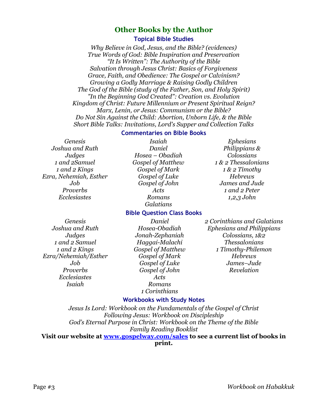### **Other Books by the Author**

#### **Topical Bible Studies**

*Why Believe in God, Jesus, and the Bible? (evidences) True Words of God: Bible Inspiration and Preservation "It Is Written": The Authority of the Bible Salvation through Jesus Christ: Basics of Forgiveness Grace, Faith, and Obedience: The Gospel or Calvinism? Growing a Godly Marriage & Raising Godly Children The God of the Bible (study of the Father, Son, and Holy Spirit) "In the Beginning God Created": Creation vs. Evolution Kingdom of Christ: Future Millennium or Present Spiritual Reign? Marx, Lenin, or Jesus: Communism or the Bible? Do Not Sin Against the Child: Abortion, Unborn Life, & the Bible Short Bible Talks: Invitations, Lord's Supper and Collection Talks*

#### **Commentaries on Bible Books**

*Genesis Joshua and Ruth Judges 1 and 2Samuel 1 and 2 Kings Ezra, Nehemiah, Esther Job Proverbs Ecclesiastes*

*Isaiah Daniel Hosea – Obadiah Gospel of Matthew Gospel of Mark Gospel of Luke Gospel of John Acts Romans Galatians*

#### *Ephesians Philippians & Colossians 1 & 2 Thessalonians 1 & 2 Timothy Hebrews James and Jude 1 and 2 Peter 1,2,3 John*

**Bible Question Class Books** *Daniel*

*Genesis Joshua and Ruth Judges 1 and 2 Samuel 1 and 2 Kings Ezra/Nehemiah/Esther Job Proverbs Ecclesiastes Isaiah* 

*Hosea-Obadiah Jonah-Zephaniah Haggai-Malachi Gospel of Matthew Gospel of Mark Gospel of Luke Gospel of John Acts Romans 1 Corinthians*

#### *2 Corinthians and Galatians Ephesians and Philippians Colossians, 1&2 Thessalonians 1 Timothy-Philemon Hebrews James–Jude Revelation*

#### **Workbooks with Study Notes**

*Jesus Is Lord: Workbook on the Fundamentals of the Gospel of Christ Following Jesus: Workbook on Discipleship God's Eternal Purpose in Christ: Workbook on the Theme of the Bible Family Reading Booklist* **Visit our website at [www.gospelway.com/sales](https://www.gospelway.com/sales) to see a current list of books in** 

#### **print.**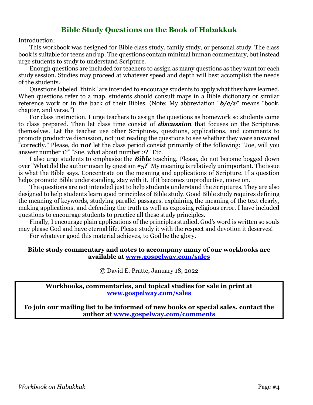## **Bible Study Questions on the Book of Habakkuk**

Introduction:

This workbook was designed for Bible class study, family study, or personal study. The class book is suitable for teens and up. The questions contain minimal human commentary, but instead urge students to study to understand Scripture.

Enough questions are included for teachers to assign as many questions as they want for each study session. Studies may proceed at whatever speed and depth will best accomplish the needs of the students.

Questions labeled "think" are intended to encourage students to apply what they have learned. When questions refer to a map, students should consult maps in a Bible dictionary or similar reference work or in the back of their Bibles. (Note: My abbreviation "*b/c/v*" means "book, chapter, and verse.")

For class instruction, I urge teachers to assign the questions as homework so students come to class prepared. Then let class time consist of *discussion* that focuses on the Scriptures themselves. Let the teacher use other Scriptures, questions, applications, and comments to promote productive discussion, not just reading the questions to see whether they were answered "correctly." Please, do *not* let the class period consist primarily of the following: "Joe, will you answer number 1?" "Sue, what about number 2?" Etc.

I also urge students to emphasize the *Bible* teaching. Please, do not become bogged down over "What did the author mean by question #5?" My meaning is relatively unimportant. The issue is what the Bible says. Concentrate on the meaning and applications of Scripture. If a question helps promote Bible understanding, stay with it. If it becomes unproductive, move on.

The questions are not intended just to help students understand the Scriptures. They are also designed to help students learn good principles of Bible study. Good Bible study requires defining the meaning of keywords, studying parallel passages, explaining the meaning of the text clearly, making applications, and defending the truth as well as exposing religious error. I have included questions to encourage students to practice all these study principles.

Finally, I encourage plain applications of the principles studied. God's word is written so souls may please God and have eternal life. Please study it with the respect and devotion it deserves! For whatever good this material achieves, to God be the glory.

#### **Bible study commentary and notes to accompany many of our workbooks are available at [www.gospelway.com/sales](https://www.gospelway.com/sales)**

© David E. Pratte, January 18, 2022

**Workbooks, commentaries, and topical studies for sale in print at [www.gospelway.com/sales](https://www.gospelway.com/sales)**

**To join our mailing list to be informed of new books or special sales, contact the author at [www.gospelway.com/comments](http://www.gospelway.com/comments)**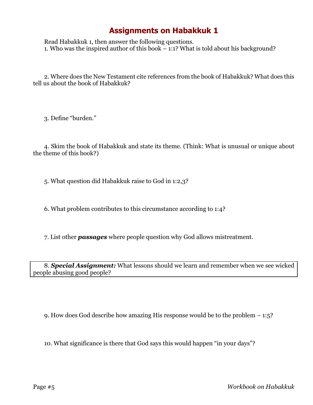## **Assignments on Habakkuk 1**

Read Habakkuk 1, then answer the following questions. 1. Who was the inspired author of this book – 1:1? What is told about his background?

2. Where does the New Testament cite references from the book of Habakkuk? What does this tell us about the book of Habakkuk?

3. Define "burden."

4. Skim the book of Habakkuk and state its theme. (Think: What is unusual or unique about the theme of this book?)

5. What question did Habakkuk raise to God in 1:2,3?

6. What problem contributes to this circumstance according to 1:4?

7. List other *passages* where people question why God allows mistreatment.

8. *Special Assignment:* What lessons should we learn and remember when we see wicked people abusing good people?

9. How does God describe how amazing His response would be to the problem – 1:5?

10. What significance is there that God says this would happen "in your days"?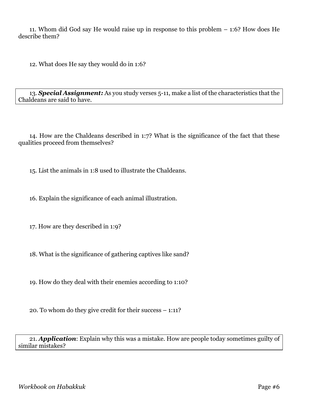11. Whom did God say He would raise up in response to this problem – 1:6? How does He describe them?

12. What does He say they would do in 1:6?

13. *Special Assignment:* As you study verses 5-11, make a list of the characteristics that the Chaldeans are said to have.

14. How are the Chaldeans described in 1:7? What is the significance of the fact that these qualities proceed from themselves?

15. List the animals in 1:8 used to illustrate the Chaldeans.

16. Explain the significance of each animal illustration.

17. How are they described in 1:9?

18. What is the significance of gathering captives like sand?

19. How do they deal with their enemies according to 1:10?

20. To whom do they give credit for their success – 1:11?

21. *Application*: Explain why this was a mistake. How are people today sometimes guilty of similar mistakes?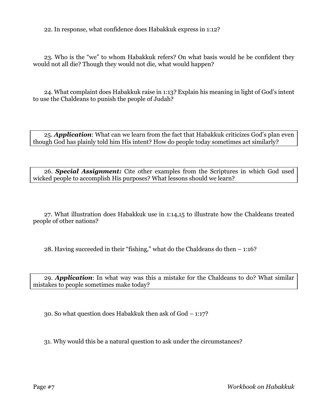22. In response, what confidence does Habakkuk express in 1:12?

23. Who is the "we" to whom Habakkuk refers? On what basis would he be confident they would not all die? Though they would not die, what would happen?

24. What complaint does Habakkuk raise in 1:13? Explain his meaning in light of God's intent to use the Chaldeans to punish the people of Judah?

25. *Application*: What can we learn from the fact that Habakkuk criticizes God's plan even though God has plainly told him His intent? How do people today sometimes act similarly?

26. *Special Assignment:* Cite other examples from the Scriptures in which God used wicked people to accomplish His purposes? What lessons should we learn?

27. What illustration does Habakkuk use in 1:14,15 to illustrate how the Chaldeans treated people of other nations?

28. Having succeeded in their "fishing," what do the Chaldeans do then – 1:16?

29. *Application*: In what way was this a mistake for the Chaldeans to do? What similar mistakes to people sometimes make today?

30. So what question does Habakkuk then ask of God – 1:17?

31. Why would this be a natural question to ask under the circumstances?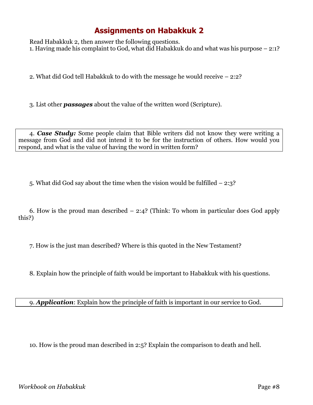## **Assignments on Habakkuk 2**

Read Habakkuk 2, then answer the following questions. 1. Having made his complaint to God, what did Habakkuk do and what was his purpose – 2:1?

2. What did God tell Habakkuk to do with the message he would receive – 2:2?

3. List other *passages* about the value of the written word (Scripture).

4. *Case Study:* Some people claim that Bible writers did not know they were writing a message from God and did not intend it to be for the instruction of others. How would you respond, and what is the value of having the word in written form?

5. What did God say about the time when the vision would be fulfilled – 2:3?

6. How is the proud man described – 2:4? (Think: To whom in particular does God apply this?)

7. How is the just man described? Where is this quoted in the New Testament?

8. Explain how the principle of faith would be important to Habakkuk with his questions.

9. *Application*: Explain how the principle of faith is important in our service to God.

10. How is the proud man described in 2:5? Explain the comparison to death and hell.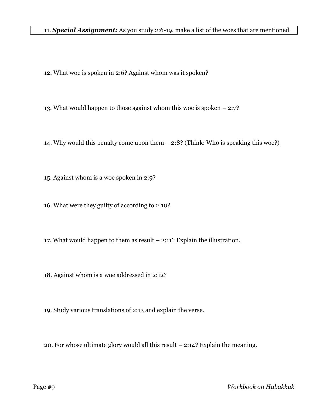11. *Special Assignment:* As you study 2:6-19, make a list of the woes that are mentioned.

- 12. What woe is spoken in 2:6? Against whom was it spoken?
- 13. What would happen to those against whom this woe is spoken 2:7?
- 14. Why would this penalty come upon them 2:8? (Think: Who is speaking this woe?)
- 15. Against whom is a woe spoken in 2:9?
- 16. What were they guilty of according to 2:10?
- 17. What would happen to them as result 2:11? Explain the illustration.
- 18. Against whom is a woe addressed in 2:12?
- 19. Study various translations of 2:13 and explain the verse.
- 20. For whose ultimate glory would all this result 2:14? Explain the meaning.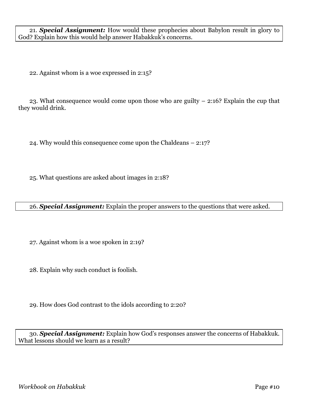21. *Special Assignment:* How would these prophecies about Babylon result in glory to God? Explain how this would help answer Habakkuk's concerns.

22. Against whom is a woe expressed in 2:15?

23. What consequence would come upon those who are guilty – 2:16? Explain the cup that they would drink.

24. Why would this consequence come upon the Chaldeans – 2:17?

25. What questions are asked about images in 2:18?

|  |  |  | 26. Special Assignment: Explain the proper answers to the questions that were asked. |
|--|--|--|--------------------------------------------------------------------------------------|
|  |  |  |                                                                                      |

27. Against whom is a woe spoken in 2:19?

28. Explain why such conduct is foolish.

29. How does God contrast to the idols according to 2:20?

30. *Special Assignment:* Explain how God's responses answer the concerns of Habakkuk. What lessons should we learn as a result?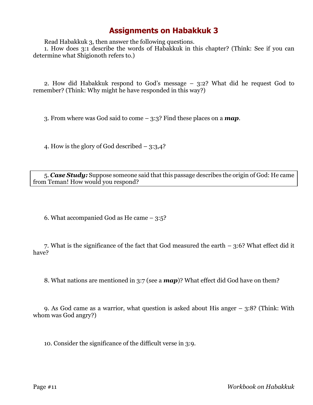## **Assignments on Habakkuk 3**

Read Habakkuk 3, then answer the following questions.

1. How does 3:1 describe the words of Habakkuk in this chapter? (Think: See if you can determine what Shigionoth refers to.)

2. How did Habakkuk respond to God's message – 3:2? What did he request God to remember? (Think: Why might he have responded in this way?)

3. From where was God said to come – 3:3? Find these places on a *map*.

4. How is the glory of God described – 3:3,4?

5. *Case Study:* Suppose someone said that this passage describes the origin of God: He came from Teman! How would you respond?

6. What accompanied God as He came – 3:5?

7. What is the significance of the fact that God measured the earth – 3:6? What effect did it have?

8. What nations are mentioned in 3:7 (see a *map*)? What effect did God have on them?

9. As God came as a warrior, what question is asked about His anger – 3:8? (Think: With whom was God angry?)

10. Consider the significance of the difficult verse in 3:9.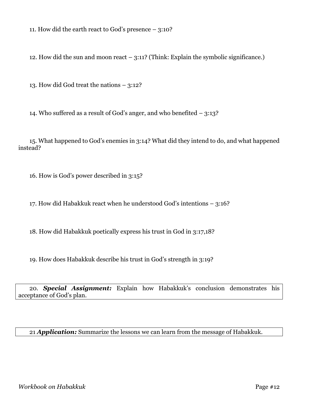11. How did the earth react to God's presence – 3:10?

12. How did the sun and moon react  $-$  3:11? (Think: Explain the symbolic significance.)

13. How did God treat the nations – 3:12?

14. Who suffered as a result of God's anger, and who benefited – 3:13?

15. What happened to God's enemies in 3:14? What did they intend to do, and what happened instead?

16. How is God's power described in 3:15?

17. How did Habakkuk react when he understood God's intentions – 3:16?

18. How did Habakkuk poetically express his trust in God in 3:17,18?

19. How does Habakkuk describe his trust in God's strength in 3:19?

20. *Special Assignment:* Explain how Habakkuk's conclusion demonstrates his acceptance of God's plan.

21 *Application:* Summarize the lessons we can learn from the message of Habakkuk.